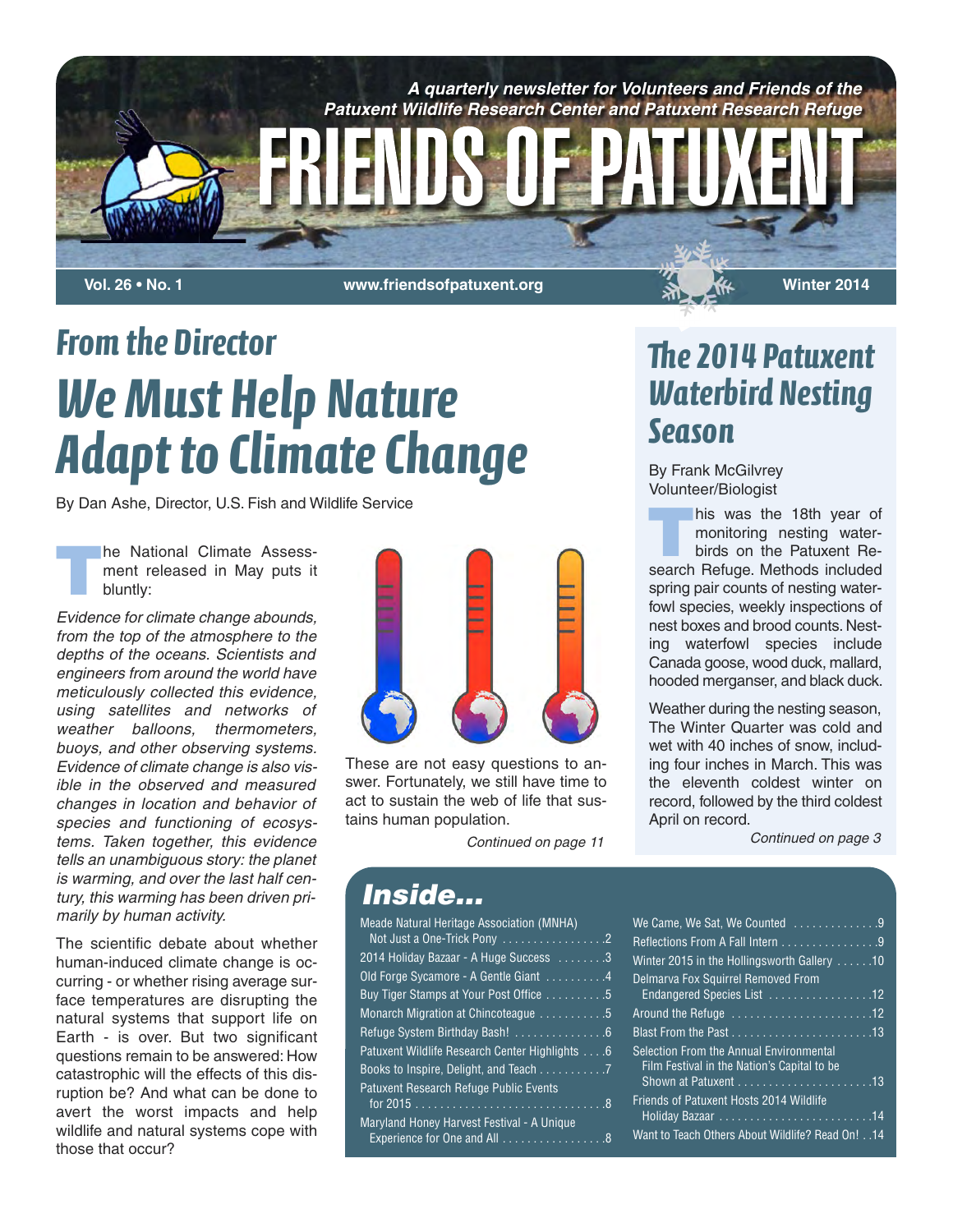

*From the Director We Must Help Nature Adapt to Climate Change*

By Dan Ashe, Director, U.S. Fish and Wildlife Service

**T**he National Climate Assessment released in May puts it bluntly:

*Evidence for climate change abounds, from the top of the atmosphere to the depths of the oceans. Scientists and engineers from around the world have meticulously collected this evidence, using satellites and networks of weather balloons, thermometers, buoys, and other observing systems. Evidence of climate change is also visible in the observed and measured changes in location and behavior of species and functioning of ecosystems. Taken together, this evidence tells an unambiguous story: the planet is warming, and over the last half century, this warming has been driven primarily by human activity.*

The scientific debate about whether human-induced climate change is occurring - or whether rising average surface temperatures are disrupting the natural systems that support life on Earth - is over. But two significant questions remain to be answered: How catastrophic will the effects of this disruption be? And what can be done to avert the worst impacts and help wildlife and natural systems cope with those that occur?



These are not easy questions to answer. Fortunately, we still have time to act to sustain the web of life that sustains human population.

# *e 2014 Patuxent Waterbird Nesting Season*

By Frank McGilvrey Volunteer/Biologist

his was the 18th year of monitoring nesting waterbirds on the Patuxent Research Refuge. Methods included spring pair counts of nesting waterfowl species, weekly inspections of nest boxes and brood counts. Nesting waterfowl species include Canada goose, wood duck, mallard, hooded merganser, and black duck.

Weather during the nesting season, The Winter Quarter was cold and wet with 40 inches of snow, including four inches in March. This was the eleventh coldest winter on record, followed by the third coldest April on record.

*Continued on page 11 Continued on page 3*

### *Inside...*

| Meade Natural Heritage Association (MNHA)      |  |
|------------------------------------------------|--|
| Not Just a One-Trick Pony 2                    |  |
| 2014 Holiday Bazaar - A Huge Success 3         |  |
| Old Forge Sycamore - A Gentle Giant 4          |  |
| Buy Tiger Stamps at Your Post Office 5         |  |
| Monarch Migration at Chincoteague 5            |  |
| Refuge System Birthday Bash! 6                 |  |
| Patuxent Wildlife Research Center Highlights 6 |  |
| Books to Inspire, Delight, and Teach 7         |  |
| <b>Patuxent Research Refuge Public Events</b>  |  |
|                                                |  |
| Maryland Honey Harvest Festival - A Unique     |  |
| Experience for One and All 8                   |  |
|                                                |  |

| We Came, We Sat, We Counted 9                                                          |  |
|----------------------------------------------------------------------------------------|--|
| Reflections From A Fall Intern 9                                                       |  |
| Winter 2015 in the Hollingsworth Gallery 10                                            |  |
| Delmarva Fox Squirrel Removed From                                                     |  |
| Endangered Species List 12                                                             |  |
| Around the Refuge 12                                                                   |  |
| Blast From the Past $\ldots \ldots \ldots \ldots \ldots \ldots \ldots 13$              |  |
| Selection From the Annual Environmental<br>Film Festival in the Nation's Capital to be |  |
|                                                                                        |  |
| <b>Friends of Patuxent Hosts 2014 Wildlife</b>                                         |  |
|                                                                                        |  |
| 14. . Want to Teach Others About Wildlife? Read On!14                                  |  |
|                                                                                        |  |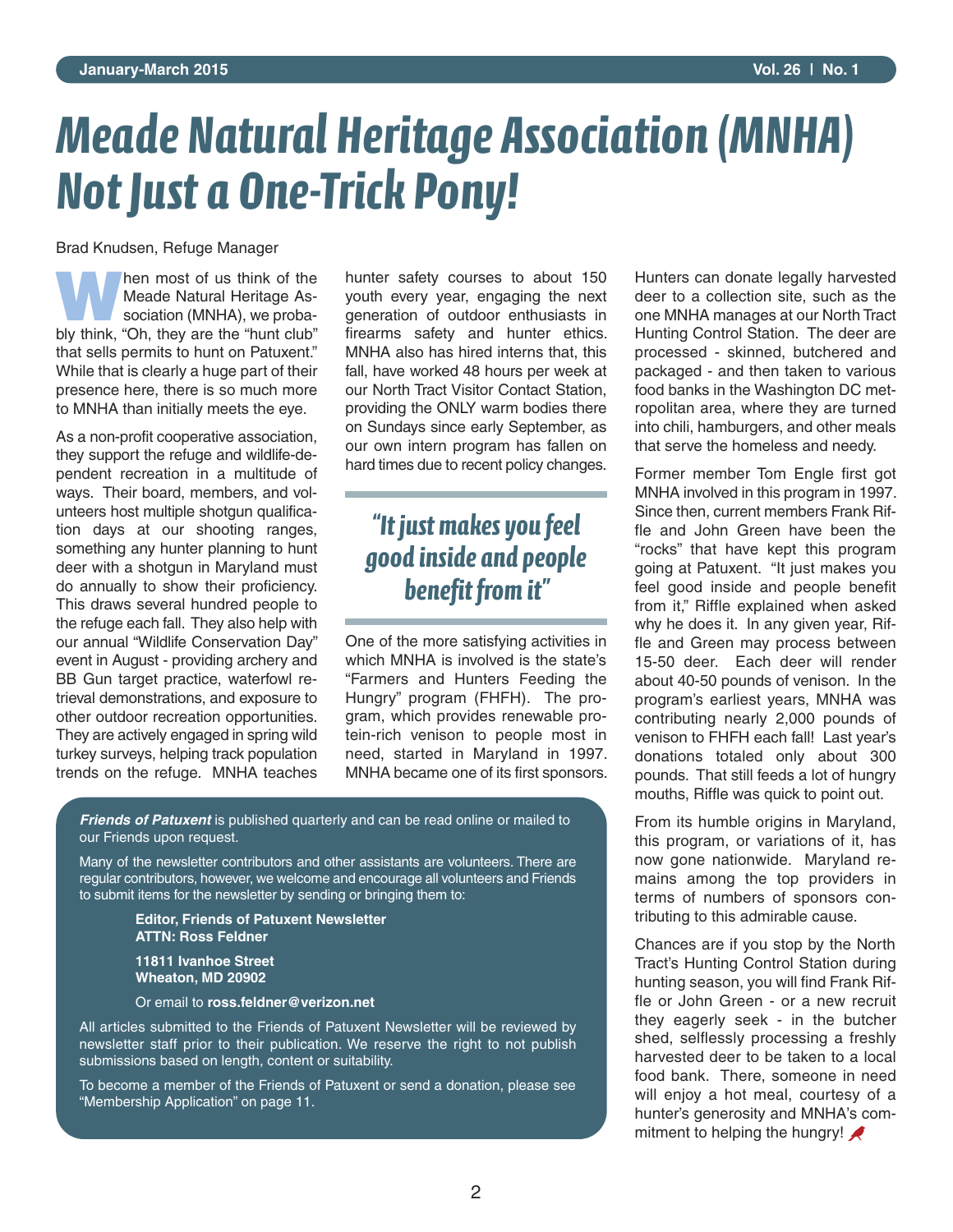# *Meade Natural Heritage Association (MNHA) Not Just a One-Trick Pony!*

Brad Knudsen, Refuge Manager

**W**hen most of us think of the Meade Natural Heritage Association (MNHA), we probably think, "Oh, they are the "hunt club" that sells permits to hunt on Patuxent." While that is clearly a huge part of their presence here, there is so much more to MNHA than initially meets the eye.

As a non-profit cooperative association, they support the refuge and wildlife-dependent recreation in a multitude of ways. Their board, members, and volunteers host multiple shotgun qualification days at our shooting ranges, something any hunter planning to hunt deer with a shotgun in Maryland must do annually to show their proficiency. This draws several hundred people to the refuge each fall. They also help with our annual "Wildlife Conservation Day" event in August - providing archery and BB Gun target practice, waterfowl retrieval demonstrations, and exposure to other outdoor recreation opportunities. They are actively engaged in spring wild turkey surveys, helping track population trends on the refuge. MNHA teaches

hunter safety courses to about 150 youth every year, engaging the next generation of outdoor enthusiasts in firearms safety and hunter ethics. MNHA also has hired interns that, this fall, have worked 48 hours per week at our North Tract Visitor Contact Station, providing the ONLY warm bodies there on Sundays since early September, as our own intern program has fallen on hard times due to recent policy changes.

## *"It just makes you feel good inside and people benefit from it"*

One of the more satisfying activities in which MNHA is involved is the state's "Farmers and Hunters Feeding the Hungry" program (FHFH). The program, which provides renewable protein-rich venison to people most in need, started in Maryland in 1997. MNHA became one of its first sponsors.

*Friends of Patuxent* is published quarterly and can be read online or mailed to our Friends upon request.

Many of the newsletter contributors and other assistants are volunteers. There are regular contributors, however, we welcome and encourage all volunteers and Friends to submit items for the newsletter by sending or bringing them to:

#### **Editor, Friends of Patuxent Newsletter ATTN: Ross Feldner**

**11811 Ivanhoe Street Wheaton, MD 20902**

Or email to **ross.feldner@verizon.net**

All articles submitted to the Friends of Patuxent Newsletter will be reviewed by newsletter staff prior to their publication. We reserve the right to not publish submissions based on length, content or suitability.

To become a member of the Friends of Patuxent or send a donation, please see "Membership Application" on page 11.

Hunters can donate legally harvested deer to a collection site, such as the one MNHA manages at our North Tract Hunting Control Station. The deer are processed - skinned, butchered and packaged - and then taken to various food banks in the Washington DC metropolitan area, where they are turned into chili, hamburgers, and other meals that serve the homeless and needy.

Former member Tom Engle first got MNHA involved in this program in 1997. Since then, current members Frank Riffle and John Green have been the "rocks" that have kept this program going at Patuxent. "It just makes you feel good inside and people benefit from it," Riffle explained when asked why he does it. In any given year, Riffle and Green may process between 15-50 deer. Each deer will render about 40-50 pounds of venison. In the program's earliest years, MNHA was contributing nearly 2,000 pounds of venison to FHFH each fall! Last year's donations totaled only about 300 pounds. That still feeds a lot of hungry mouths, Riffle was quick to point out.

From its humble origins in Maryland, this program, or variations of it, has now gone nationwide. Maryland remains among the top providers in terms of numbers of sponsors contributing to this admirable cause.

Chances are if you stop by the North Tract's Hunting Control Station during hunting season, you will find Frank Riffle or John Green - or a new recruit they eagerly seek - in the butcher shed, selflessly processing a freshly harvested deer to be taken to a local food bank. There, someone in need will enjoy a hot meal, courtesy of a hunter's generosity and MNHA's commitment to helping the hungry!  $\bigtriangledown$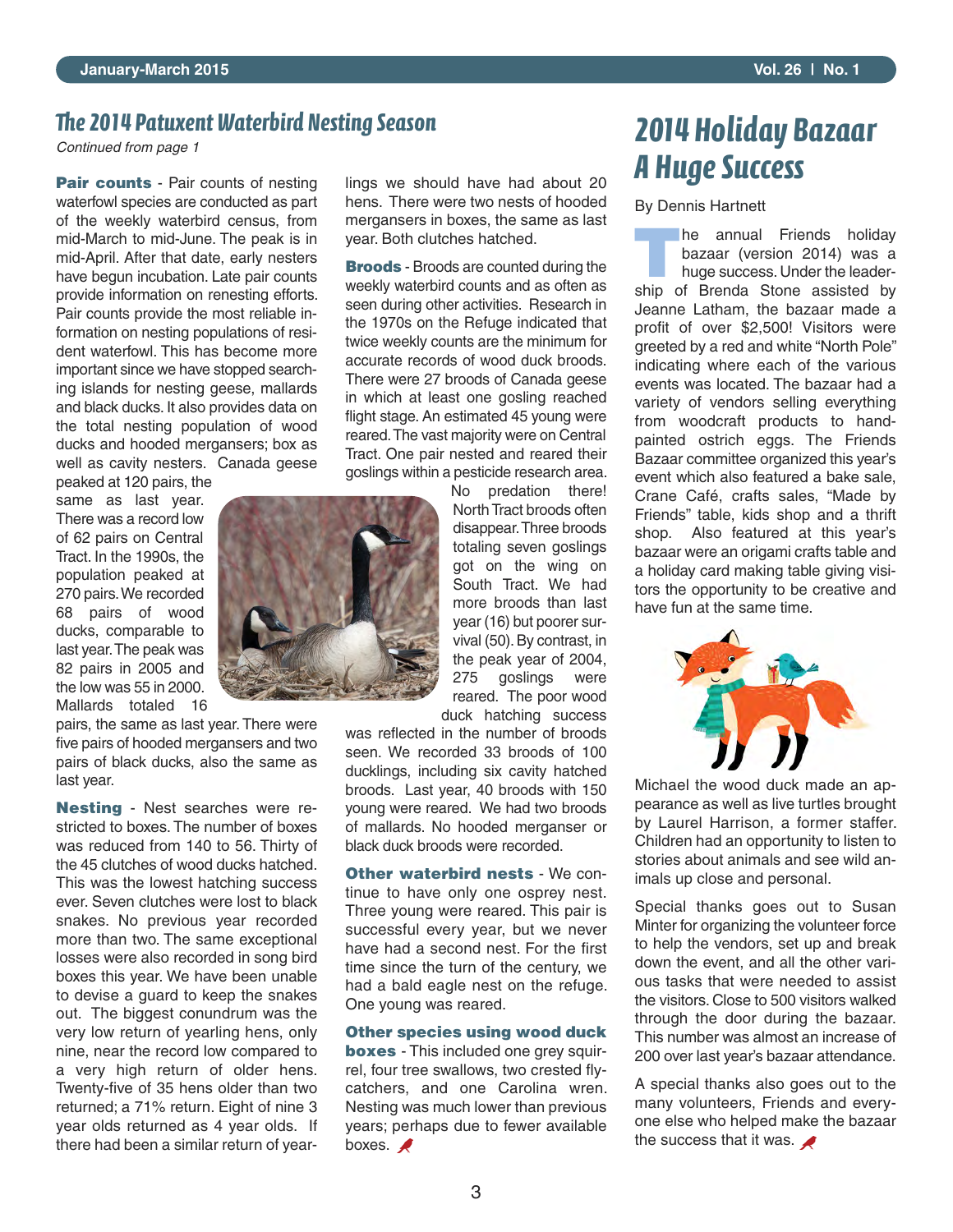### *e 2014 Patuxent Waterbird Nesting Season*

*Continued from page 1*

**Pair counts** - Pair counts of nesting waterfowl species are conducted as part of the weekly waterbird census, from mid-March to mid-June. The peak is in mid-April. After that date, early nesters have begun incubation. Late pair counts provide information on renesting efforts. Pair counts provide the most reliable information on nesting populations of resident waterfowl. This has become more important since we have stopped searching islands for nesting geese, mallards and black ducks. It also provides data on the total nesting population of wood ducks and hooded mergansers; box as well as cavity nesters. Canada geese

peaked at 120 pairs, the same as last year. There was a record low of 62 pairs on Central Tract. In the 1990s, the population peaked at 270 pairs.We recorded 68 pairs of wood ducks, comparable to last year.The peak was 82 pairs in 2005 and the low was 55 in 2000. Mallards totaled 16

pairs, the same as last year. There were five pairs of hooded mergansers and two pairs of black ducks, also the same as last year.

**Nesting** - Nest searches were restricted to boxes. The number of boxes was reduced from 140 to 56. Thirty of the 45 clutches of wood ducks hatched. This was the lowest hatching success ever. Seven clutches were lost to black snakes. No previous year recorded more than two. The same exceptional losses were also recorded in song bird boxes this year. We have been unable to devise a guard to keep the snakes out. The biggest conundrum was the very low return of yearling hens, only nine, near the record low compared to a very high return of older hens. Twenty-five of 35 hens older than two returned; a 71% return. Eight of nine 3 year olds returned as 4 year olds. If there had been a similar return of year-

lings we should have had about 20 hens. There were two nests of hooded mergansers in boxes, the same as last year. Both clutches hatched.

**Broods** - Broods are counted during the weekly waterbird counts and as often as seen during other activities. Research in the 1970s on the Refuge indicated that twice weekly counts are the minimum for accurate records of wood duck broods. There were 27 broods of Canada geese in which at least one gosling reached flight stage. An estimated 45 young were reared.The vast majority were on Central Tract. One pair nested and reared their goslings within a pesticide research area.

> No predation there! North Tract broods often disappear.Three broods totaling seven goslings got on the wing on South Tract. We had more broods than last year (16) but poorer survival (50). By contrast, in the peak year of 2004, 275 goslings were reared. The poor wood duck hatching success

was reflected in the number of broods seen. We recorded 33 broods of 100 ducklings, including six cavity hatched broods. Last year, 40 broods with 150 young were reared. We had two broods of mallards. No hooded merganser or black duck broods were recorded.

**Other waterbird nests** - We continue to have only one osprey nest. Three young were reared. This pair is successful every year, but we never have had a second nest. For the first time since the turn of the century, we had a bald eagle nest on the refuge. One young was reared.

#### **Other species using wood duck**

**boxes** - This included one grey squirrel, four tree swallows, two crested flycatchers, and one Carolina wren. Nesting was much lower than previous years; perhaps due to fewer available boxes.  $\blacktriangle$ 

## *2014 Holiday Bazaar A Huge Success*

#### By Dennis Hartnett

**THE PERIME FRIENDS**<br> **THE ANN AND RESE**<br> **THE ANN AND RESE**<br> **THE ANN AND RESE**<br> **THE ANN AND RESELUTED AND RESELUTED AND RESELUTED AND RESELUTED AND RESELUTED ASSEMBLY AND RESELUTED AND RESPLANCE AND RESPLANCE AND RESPLA** bazaar (version 2014) was a ship of Brenda Stone assisted by Jeanne Latham, the bazaar made a profit of over \$2,500! Visitors were greeted by a red and white "North Pole" indicating where each of the various events was located. The bazaar had a variety of vendors selling everything from woodcraft products to handpainted ostrich eggs. The Friends Bazaar committee organized this year's event which also featured a bake sale, Crane Café, crafts sales, "Made by Friends" table, kids shop and a thrift shop. Also featured at this year's bazaar were an origami crafts table and a holiday card making table giving visitors the opportunity to be creative and have fun at the same time.



Michael the wood duck made an appearance as well as live turtles brought by Laurel Harrison, a former staffer. Children had an opportunity to listen to stories about animals and see wild animals up close and personal.

Special thanks goes out to Susan Minter for organizing the volunteer force to help the vendors, set up and break down the event, and all the other various tasks that were needed to assist the visitors. Close to 500 visitors walked through the door during the bazaar. This number was almost an increase of 200 over last year's bazaar attendance.

A special thanks also goes out to the many volunteers, Friends and everyone else who helped make the bazaar the success that it was.  $\blacktriangleright$ 

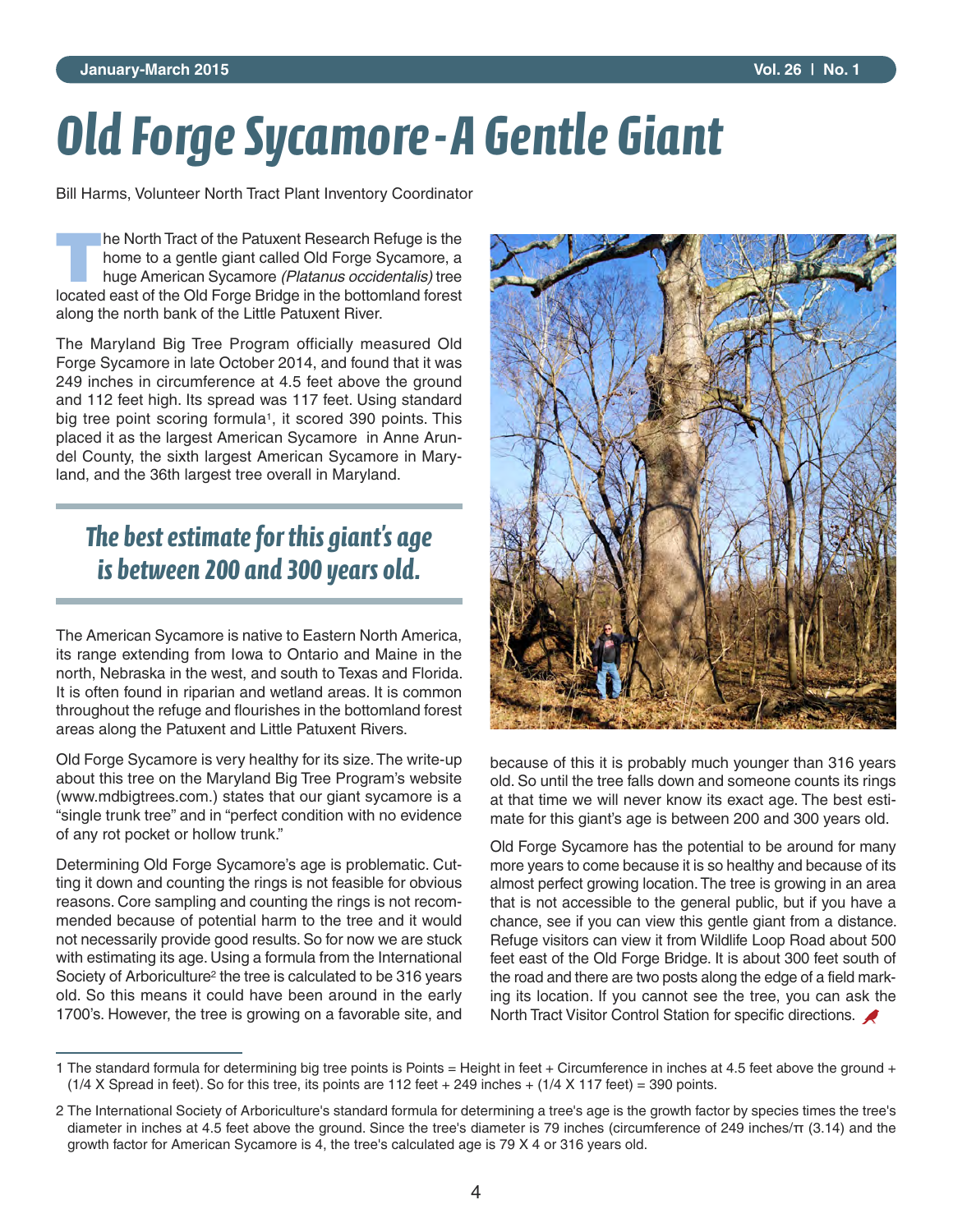# *Old Forge Sycamore-A Gentle Giant*

Bill Harms, Volunteer North Tract Plant Inventory Coordinator

**T**he North Tract of the Patuxent Research Refuge is the home to a gentle giant called Old Forge Sycamore, a huge American Sycamore *(Platanus occidentalis)* tree located east of the Old Forge Bridge in the bottomland forest along the north bank of the Little Patuxent River.

The Maryland Big Tree Program officially measured Old Forge Sycamore in late October 2014, and found that it was 249 inches in circumference at 4.5 feet above the ground and 112 feet high. Its spread was 117 feet. Using standard big tree point scoring formula<sup>1</sup>, it scored 390 points. This placed it as the largest American Sycamore in Anne Arundel County, the sixth largest American Sycamore in Maryland, and the 36th largest tree overall in Maryland.

## *The best estimate for this giant's age is between 200 and 300 years old.*

The American Sycamore is native to Eastern North America, its range extending from Iowa to Ontario and Maine in the north, Nebraska in the west, and south to Texas and Florida. It is often found in riparian and wetland areas. It is common throughout the refuge and flourishes in the bottomland forest areas along the Patuxent and Little Patuxent Rivers.

Old Forge Sycamore is very healthy for its size.The write-up about this tree on the Maryland Big Tree Program's website (www.mdbigtrees.com.) states that our giant sycamore is a "single trunk tree" and in "perfect condition with no evidence of any rot pocket or hollow trunk."

Determining Old Forge Sycamore's age is problematic. Cutting it down and counting the rings is not feasible for obvious reasons. Core sampling and counting the rings is not recommended because of potential harm to the tree and it would not necessarily provide good results. So for now we are stuck with estimating its age. Using a formula from the International Society of Arboriculture2 the tree is calculated to be 316 years old. So this means it could have been around in the early 1700's. However, the tree is growing on a favorable site, and



because of this it is probably much younger than 316 years old. So until the tree falls down and someone counts its rings at that time we will never know its exact age. The best estimate for this giant's age is between 200 and 300 years old.

Old Forge Sycamore has the potential to be around for many more years to come because it is so healthy and because of its almost perfect growing location. The tree is growing in an area that is not accessible to the general public, but if you have a chance, see if you can view this gentle giant from a distance. Refuge visitors can view it from Wildlife Loop Road about 500 feet east of the Old Forge Bridge. It is about 300 feet south of the road and there are two posts along the edge of a field marking its location. If you cannot see the tree, you can ask the North Tract Visitor Control Station for specific directions.

<sup>1</sup> The standard formula for determining big tree points is Points = Height in feet + Circumference in inches at 4.5 feet above the ground +  $(1/4 X$  Spread in feet). So for this tree, its points are 112 feet + 249 inches +  $(1/4 X 117$  feet) = 390 points.

<sup>2</sup> The International Society of Arboriculture's standard formula for determining a tree's age is the growth factor by species times the tree's diameter in inches at 4.5 feet above the ground. Since the tree's diameter is 79 inches (circumference of 249 inches/ $\pi$  (3.14) and the growth factor for American Sycamore is 4, the tree's calculated age is 79 X 4 or 316 years old.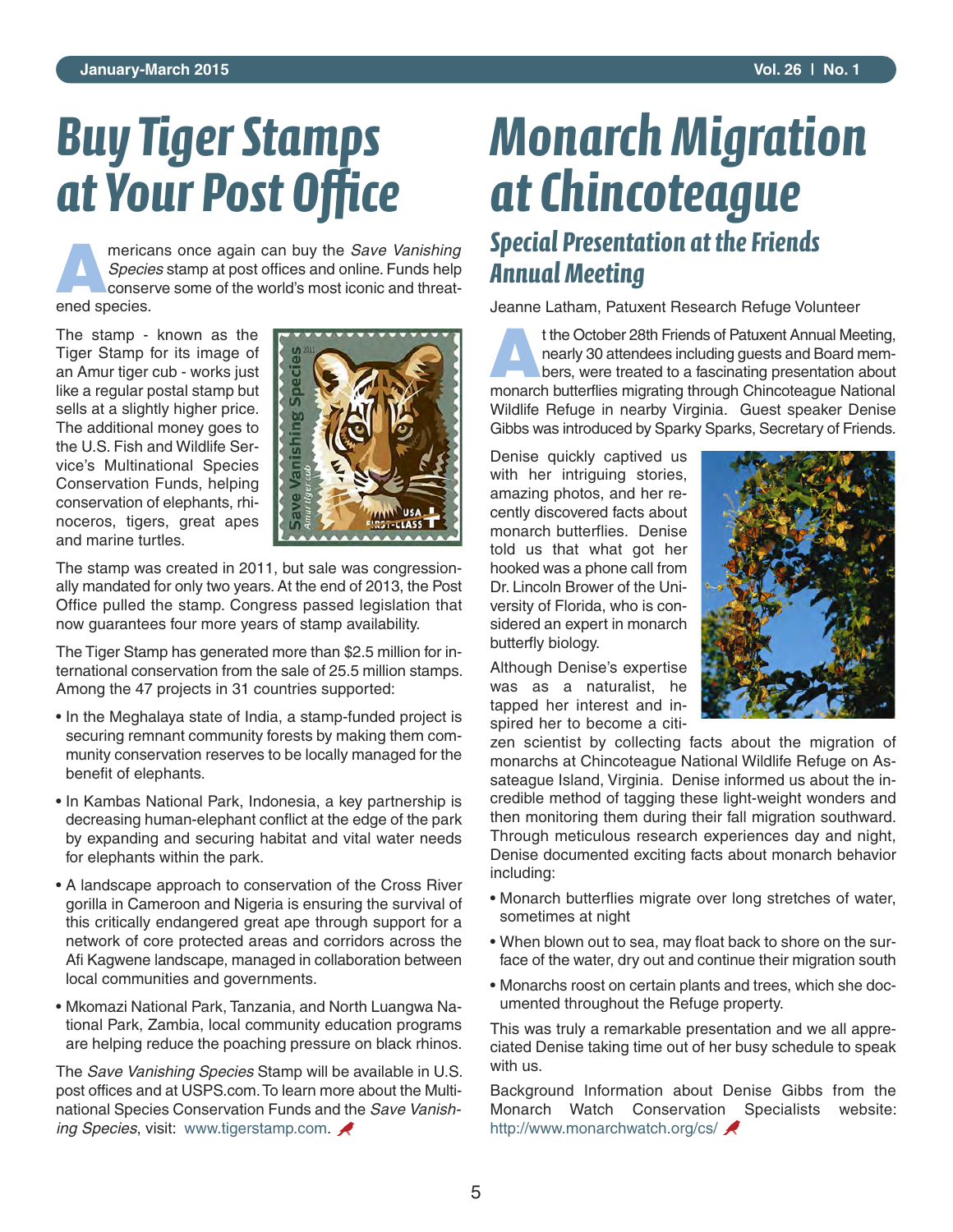# *Buy Tiger Stamps at Your Post Office*

**AMERICANS** mericans once again can buy the *Save Vanishing*<br>*Species* stamp at post offices and online. Funds help<br>conserve some of the world's most iconic and threat-*Species* stamp at post offices and online. Funds help conserve some of the world's most iconic and threatened species.

The stamp - known as the Tiger Stamp for its image of an Amur tiger cub - works just like a regular postal stamp but sells at a slightly higher price. The additional money goes to the U.S. Fish and Wildlife Service's Multinational Species Conservation Funds, helping conservation of elephants, rhinoceros, tigers, great apes and marine turtles.



The stamp was created in 2011, but sale was congressionally mandated for only two years. At the end of 2013, the Post Office pulled the stamp. Congress passed legislation that now guarantees four more years of stamp availability.

The Tiger Stamp has generated more than \$2.5 million for international conservation from the sale of 25.5 million stamps. Among the 47 projects in 31 countries supported:

- In the Meghalaya state of India, a stamp-funded project is securing remnant community forests by making them community conservation reserves to be locally managed for the benefit of elephants.
- In Kambas National Park, Indonesia, a key partnership is decreasing human-elephant conflict at the edge of the park by expanding and securing habitat and vital water needs for elephants within the park.
- A landscape approach to conservation of the Cross River gorilla in Cameroon and Nigeria is ensuring the survival of this critically endangered great ape through support for a network of core protected areas and corridors across the Afi Kagwene landscape, managed in collaboration between local communities and governments.
- Mkomazi National Park, Tanzania, and North Luangwa National Park, Zambia, local community education programs are helping reduce the poaching pressure on black rhinos.

The *Save Vanishing Species* Stamp will be available in U.S. post offices and at USPS.com.To learn more about the Multinational Species Conservation Funds and the *Save Vanishing Species*, visit: www.tigerstamp.com.

# *Monarch Migration at Chincoteague Special Presentation at the Friends Annual Meeting*

Jeanne Latham, Patuxent Research Refuge Volunteer

The Deckhart Technical Technical States of Patuxent Annual Meeting,<br> **A**t the October 28th Friends of Patuxent Annual Meeting,<br>
bers, were treated to a fascinating presentation about nearly 30 attendees including guests and Board members, were treated to a fascinating presentation about monarch butterflies migrating through Chincoteague National Wildlife Refuge in nearby Virginia. Guest speaker Denise Gibbs was introduced by Sparky Sparks, Secretary of Friends.

Denise quickly captived us with her intriguing stories, amazing photos, and her recently discovered facts about monarch butterflies. Denise told us that what got her hooked was a phone call from Dr. Lincoln Brower of the University of Florida, who is considered an expert in monarch butterfly biology.

Although Denise's expertise was as a naturalist, he tapped her interest and inspired her to become a citi-



zen scientist by collecting facts about the migration of monarchs at Chincoteague National Wildlife Refuge on Assateague Island, Virginia. Denise informed us about the incredible method of tagging these light-weight wonders and then monitoring them during their fall migration southward. Through meticulous research experiences day and night, Denise documented exciting facts about monarch behavior including:

- Monarch butterflies migrate over long stretches of water, sometimes at night
- When blown out to sea, may float back to shore on the surface of the water, dry out and continue their migration south
- Monarchs roost on certain plants and trees, which she documented throughout the Refuge property.

This was truly a remarkable presentation and we all appreciated Denise taking time out of her busy schedule to speak with us.

Background Information about Denise Gibbs from the Monarch Watch Conservation Specialists website: http://www.monarchwatch.org/cs/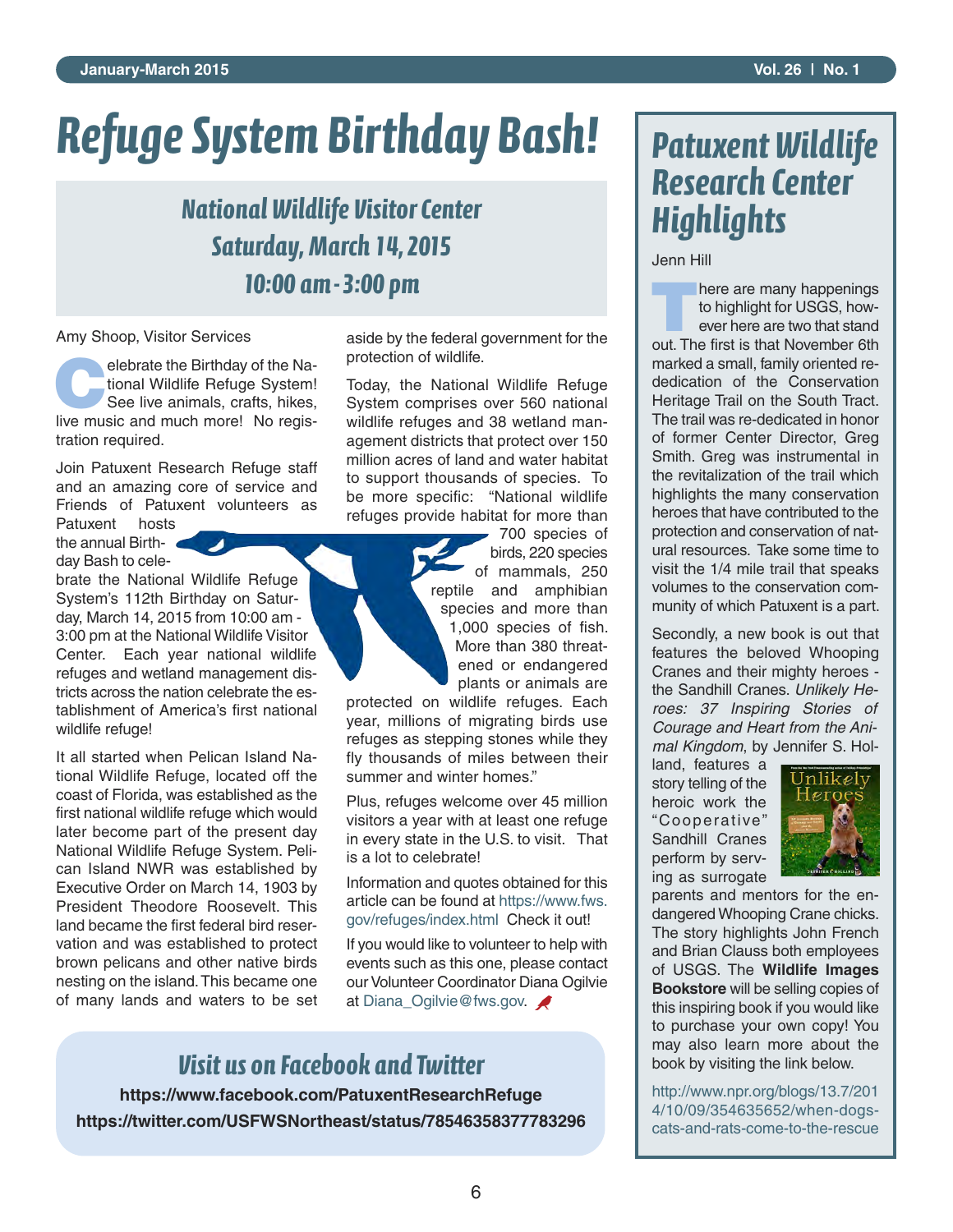# *Refuge System Birthday Bash!*

## *National Wildlife Visitor Center Saturday, March 14, 2015 10:00 am-3:00 pm*

Amy Shoop, Visitor Services

**Consider the Birthday of the Na-<br>tional Wildlife Refuge System!<br>See live animals, crafts, hikes,** tional Wildlife Refuge System! See live animals, crafts, hikes, live music and much more! No registration required.

Join Patuxent Research Refuge staff and an amazing core of service and Friends of Patuxent volunteers as

Patuxent hosts the annual Birthday Bash to cele-

brate the National Wildlife Refuge System's 112th Birthday on Saturday, March 14, 2015 from 10:00 am - 3:00 pm at the National Wildlife Visitor Center. Each year national wildlife refuges and wetland management districts across the nation celebrate the establishment of America's first national wildlife refuge!

It all started when Pelican Island National Wildlife Refuge, located off the coast of Florida, was established as the first national wildlife refuge which would later become part of the present day National Wildlife Refuge System. Pelican Island NWR was established by Executive Order on March 14, 1903 by President Theodore Roosevelt. This land became the first federal bird reservation and was established to protect brown pelicans and other native birds nesting on the island.This became one of many lands and waters to be set aside by the federal government for the protection of wildlife.

Today, the National Wildlife Refuge System comprises over 560 national wildlife refuges and 38 wetland management districts that protect over 150 million acres of land and water habitat to support thousands of species. To be more specific: "National wildlife refuges provide habitat for more than

> 700 species of birds, 220 species of mammals, 250 reptile and amphibian species and more than 1,000 species of fish. More than 380 threatened or endangered plants or animals are

protected on wildlife refuges. Each year, millions of migrating birds use refuges as stepping stones while they fly thousands of miles between their summer and winter homes."

Plus, refuges welcome over 45 million visitors a year with at least one refuge in every state in the U.S. to visit. That is a lot to celebrate!

Information and quotes obtained for this article can be found at https://www.fws. gov/refuges/index.html Check it out!

If you would like to volunteer to help with events such as this one, please contact our Volunteer Coordinator Diana Ogilvie at Diana\_Ogilvie@fws.gov.

## *Visit us on Facebook and Twitter*

**https://www.facebook.com/PatuxentResearchRefuge https://twitter.com/USFWSNortheast/status/78546358377783296**

# *Patuxent Wildlife Research Center Highlights*

Jenn Hill

**T**here are many happenings to highlight for USGS, however here are two that stand out. The first is that November 6th marked a small, family oriented rededication of the Conservation Heritage Trail on the South Tract. The trail was re-dedicated in honor of former Center Director, Greg Smith. Greg was instrumental in the revitalization of the trail which highlights the many conservation heroes that have contributed to the protection and conservation of natural resources. Take some time to visit the 1/4 mile trail that speaks volumes to the conservation community of which Patuxent is a part.

Secondly, a new book is out that features the beloved Whooping Cranes and their mighty heroes the Sandhill Cranes. *Unlikely Heroes: 37 Inspiring Stories of Courage and Heart from the Animal Kingdom*, by Jennifer S. Hol-

land, features a story telling of the heroic work the "Cooperative" Sandhill Cranes perform by serving as surrogate



parents and mentors for the endangered Whooping Crane chicks. The story highlights John French and Brian Clauss both employees of USGS. The **Wildlife Images Bookstore** will be selling copies of this inspiring book if you would like to purchase your own copy! You may also learn more about the book by visiting the link below.

http://www.npr.org/blogs/13.7/201 4/10/09/354635652/when-dogscats-and-rats-come-to-the-rescue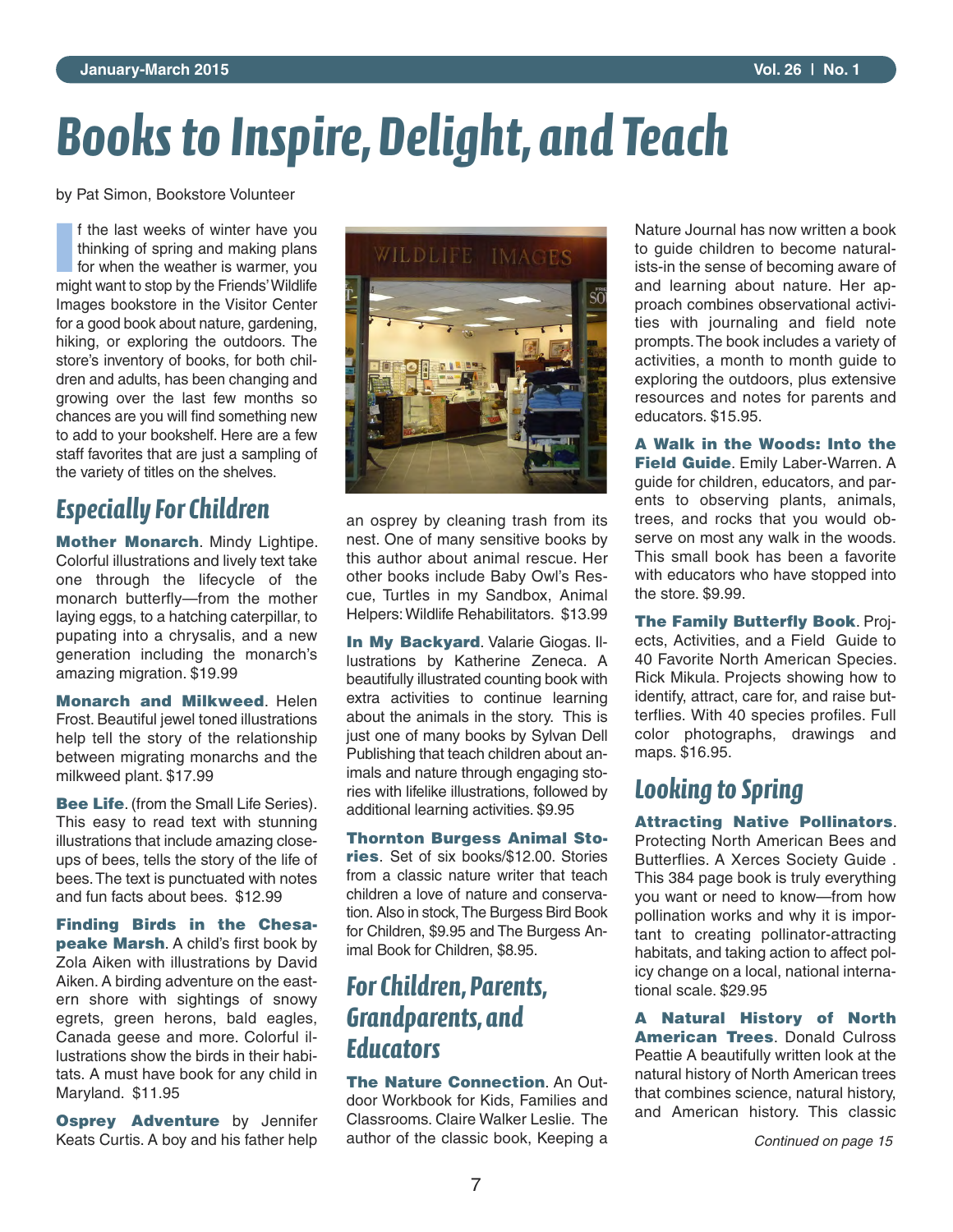# *Books to Inspire, Delight, and Teach*

by Pat Simon, Bookstore Volunteer

**I** f the last weeks of winter have you thinking of spring and making plans for when the weather is warmer, you f the last weeks of winter have you thinking of spring and making plans might want to stop by the Friends'Wildlife Images bookstore in the Visitor Center for a good book about nature, gardening, hiking, or exploring the outdoors. The store's inventory of books, for both children and adults, has been changing and growing over the last few months so chances are you will find something new to add to your bookshelf. Here are a few staff favorites that are just a sampling of the variety of titles on the shelves.

## *Especially For Children*

**Mother Monarch**. Mindy Lightipe. Colorful illustrations and lively text take one through the lifecycle of the monarch butterfly—from the mother laying eggs, to a hatching caterpillar, to pupating into a chrysalis, and a new generation including the monarch's amazing migration. \$19.99

**Monarch and Milkweed**. Helen Frost. Beautiful jewel toned illustrations help tell the story of the relationship between migrating monarchs and the milkweed plant. \$17.99

**Bee Life**. (from the Small Life Series). This easy to read text with stunning illustrations that include amazing closeups of bees, tells the story of the life of bees.The text is punctuated with notes and fun facts about bees. \$12.99

**Finding Birds in the Chesapeake Marsh**. A child's first book by Zola Aiken with illustrations by David Aiken. A birding adventure on the eastern shore with sightings of snowy egrets, green herons, bald eagles, Canada geese and more. Colorful illustrations show the birds in their habitats. A must have book for any child in Maryland. \$11.95

**Osprey Adventure** by Jennifer Keats Curtis. A boy and his father help



an osprey by cleaning trash from its nest. One of many sensitive books by this author about animal rescue. Her other books include Baby Owl's Rescue, Turtles in my Sandbox, Animal Helpers:Wildlife Rehabilitators. \$13.99

**In My Backyard**. Valarie Giogas. Illustrations by Katherine Zeneca. A beautifully illustrated counting book with extra activities to continue learning about the animals in the story. This is just one of many books by Sylvan Dell Publishing that teach children about animals and nature through engaging stories with lifelike illustrations, followed by additional learning activities. \$9.95

**Thornton Burgess Animal Stories**. Set of six books/\$12.00. Stories from a classic nature writer that teach children a love of nature and conservation. Also in stock, The Burgess Bird Book for Children, \$9.95 and The Burgess Animal Book for Children, \$8.95.

## *For Children, Parents, Grandparents, and Educators*

**The Nature Connection**. An Outdoor Workbook for Kids, Families and Classrooms. Claire Walker Leslie. The author of the classic book, Keeping a

Nature Journal has now written a book to guide children to become naturalists-in the sense of becoming aware of and learning about nature. Her approach combines observational activities with journaling and field note prompts.The book includes a variety of activities, a month to month guide to exploring the outdoors, plus extensive resources and notes for parents and educators. \$15.95.

**A Walk in the Woods: Into the Field Guide**. Emily Laber-Warren. A guide for children, educators, and parents to observing plants, animals, trees, and rocks that you would observe on most any walk in the woods. This small book has been a favorite with educators who have stopped into the store. \$9.99.

**The Family Butterfly Book**. Projects, Activities, and a Field Guide to 40 Favorite North American Species. Rick Mikula. Projects showing how to identify, attract, care for, and raise butterflies. With 40 species profiles. Full color photographs, drawings and maps. \$16.95.

### *Looking to Spring*

**Attracting Native Pollinators**. Protecting North American Bees and Butterflies. A Xerces Society Guide . This 384 page book is truly everything you want or need to know—from how pollination works and why it is important to creating pollinator-attracting habitats, and taking action to affect policy change on a local, national international scale. \$29.95

**A Natural History of North American Trees**. Donald Culross Peattie A beautifully written look at the natural history of North American trees that combines science, natural history, and American history. This classic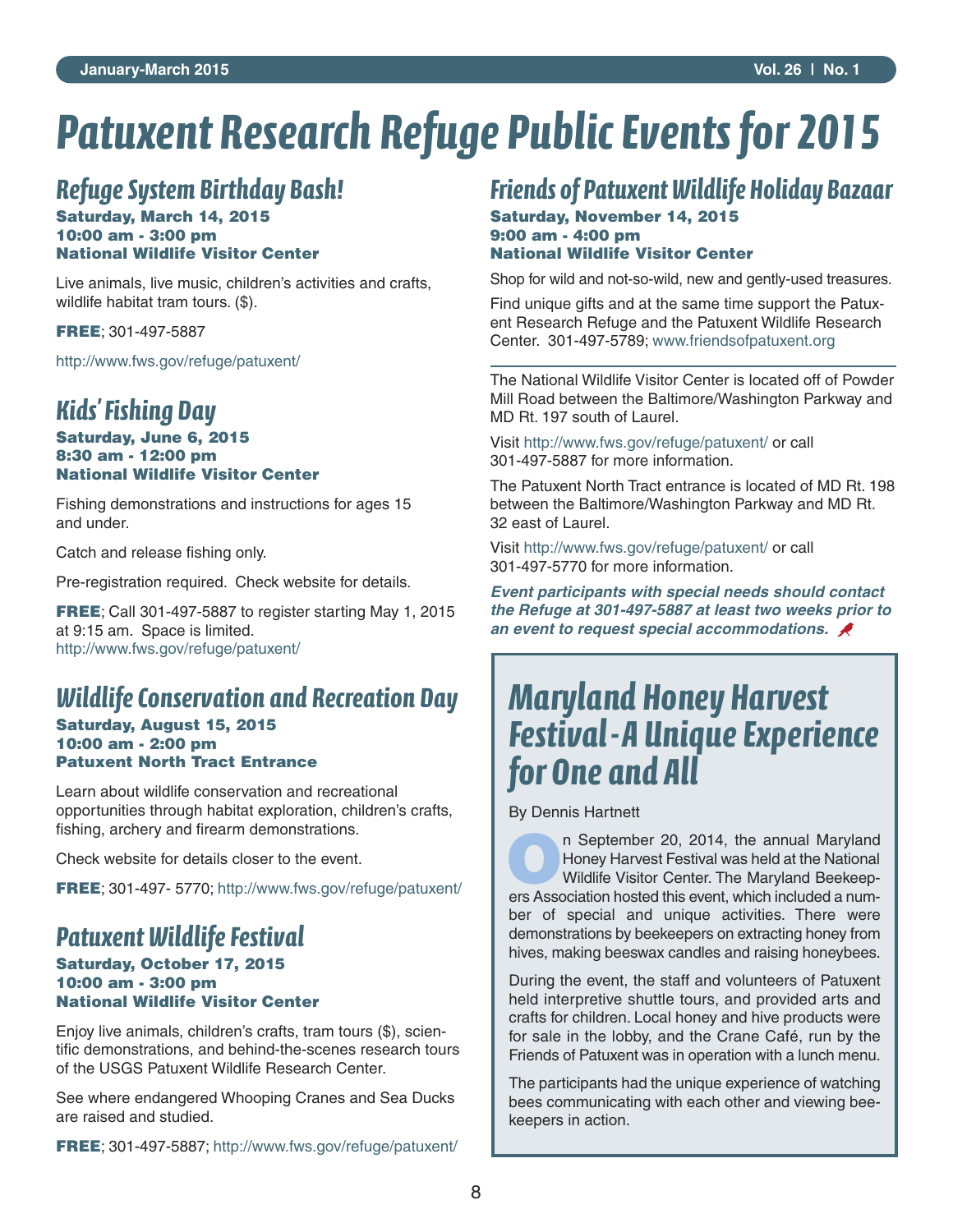# *Patuxent Research Refuge Public Events for 2015*

## *Refuge System Birthday Bash!*

#### **Saturday, March 14, 2015 10:00 am - 3:00 pm National Wildlife Visitor Center**

Live animals, live music, children's activities and crafts, wildlife habitat tram tours. (\$).

**FREE**; 301-497-5887

http://www.fws.gov/refuge/patuxent/

### *Kids' Fishing Day*

#### **Saturday, June 6, 2015 8:30 am - 12:00 pm National Wildlife Visitor Center**

Fishing demonstrations and instructions for ages 15 and under.

Catch and release fishing only.

Pre-registration required. Check website for details.

**FREE**; Call 301-497-5887 to register starting May 1, 2015 at 9:15 am. Space is limited. http://www.fws.gov/refuge/patuxent/

## *Wildlife Conservation and Recreation Day*

#### **Saturday, August 15, 2015 10:00 am - 2:00 pm Patuxent North Tract Entrance**

Learn about wildlife conservation and recreational opportunities through habitat exploration, children's crafts, fishing, archery and firearm demonstrations.

Check website for details closer to the event.

**FREE**; 301-497- 5770; http://www.fws.gov/refuge/patuxent/

## *Patuxent Wildlife Festival*

#### **Saturday, October 17, 2015 10:00 am - 3:00 pm National Wildlife Visitor Center**

Enjoy live animals, children's crafts, tram tours (\$), scientific demonstrations, and behind-the-scenes research tours of the USGS Patuxent Wildlife Research Center.

See where endangered Whooping Cranes and Sea Ducks are raised and studied.

**FREE**; 301-497-5887; http://www.fws.gov/refuge/patuxent/

## *Friends of Patuxent Wildlife Holiday Bazaar*

#### **Saturday, November 14, 2015 9:00 am - 4:00 pm National Wildlife Visitor Center**

Shop for wild and not-so-wild, new and gently-used treasures.

Find unique gifts and at the same time support the Patuxent Research Refuge and the Patuxent Wildlife Research Center. 301-497-5789; www.friendsofpatuxent.org

The National Wildlife Visitor Center is located off of Powder Mill Road between the Baltimore/Washington Parkway and MD Rt. 197 south of Laurel.

Visit http://www.fws.gov/refuge/patuxent/ or call 301-497-5887 for more information.

The Patuxent North Tract entrance is located of MD Rt. 198 between the Baltimore/Washington Parkway and MD Rt. 32 east of Laurel.

Visit http://www.fws.gov/refuge/patuxent/ or call 301-497-5770 for more information.

*Event participants with special needs should contact the Refuge at 301-497-5887 at least two weeks prior to an event to request special accommodations.*

# *Maryland Honey Harvest Festival-A Unique Experience for One and All*

By Dennis Hartnett

**O**n September 20, 2014, the annual Maryland Honey Harvest Festival was held at the National Wildlife Visitor Center. The Maryland Beekeepers Association hosted this event, which included a number of special and unique activities. There were demonstrations by beekeepers on extracting honey from hives, making beeswax candles and raising honeybees.

During the event, the staff and volunteers of Patuxent held interpretive shuttle tours, and provided arts and crafts for children. Local honey and hive products were for sale in the lobby, and the Crane Café, run by the Friends of Patuxent was in operation with a lunch menu.

The participants had the unique experience of watching bees communicating with each other and viewing beekeepers in action.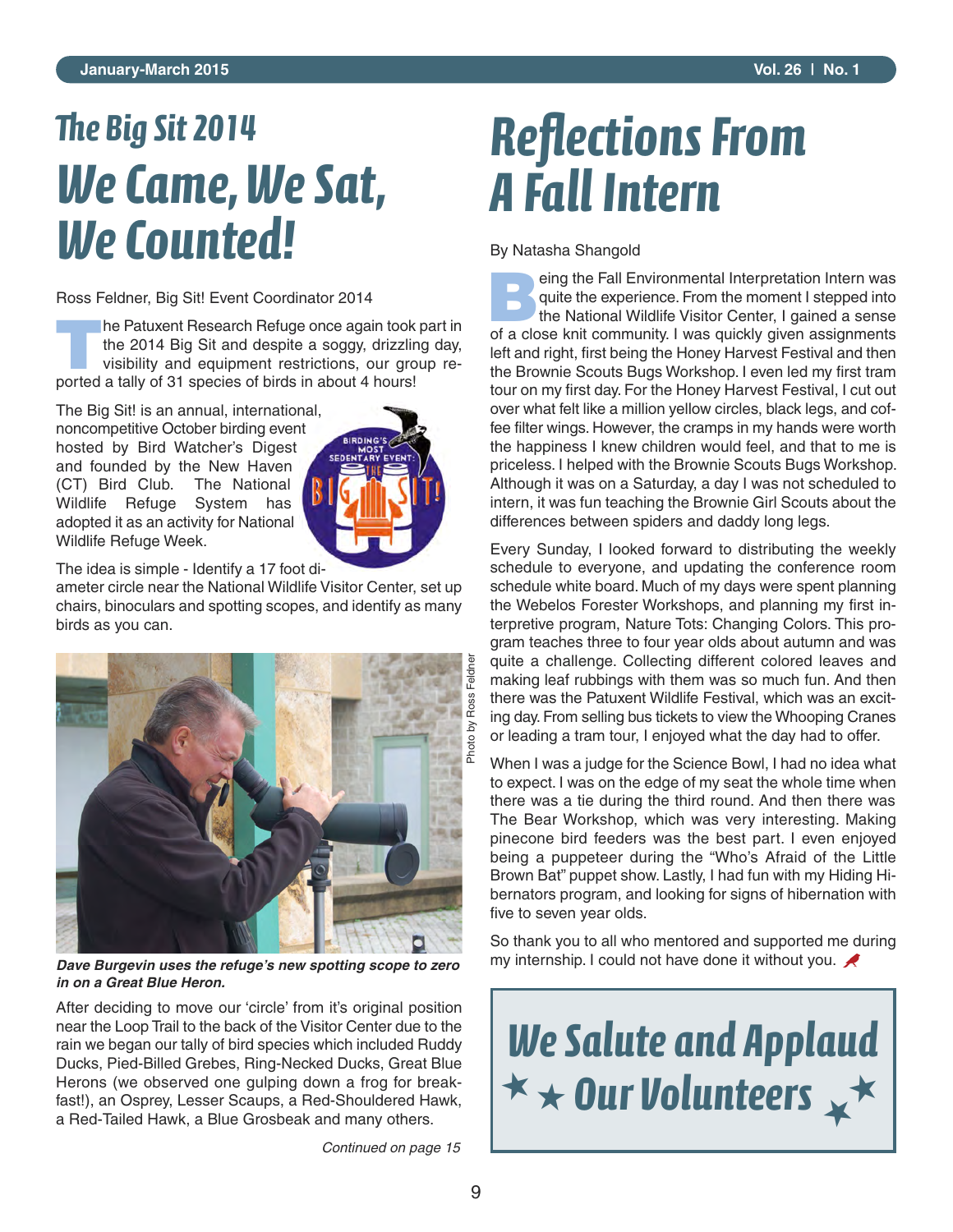#### **January-March 2015 Vol. 26 | No. 1**

# *e Big Sit 2014 We Came, We Sat, We Counted!*

Ross Feldner, Big Sit! Event Coordinator 2014

**T**he Patuxent Research Refuge once again took part in the 2014 Big Sit and despite a soggy, drizzling day, visibility and equipment restrictions, our group reported a tally of 31 species of birds in about 4 hours!

The Big Sit! is an annual, international, noncompetitive October birding event hosted by Bird Watcher's Digest and founded by the New Haven (CT) Bird Club. The National Wildlife Refuge System has adopted it as an activity for National Wildlife Refuge Week.



The idea is simple - Identify a 17 foot di-

ameter circle near the National Wildlife Visitor Center, set up chairs, binoculars and spotting scopes, and identify as many birds as you can.



*Dave Burgevin uses the refuge's new spotting scope to zero in on a Great Blue Heron.*

After deciding to move our 'circle' from it's original position near the Loop Trail to the back of the Visitor Center due to the rain we began our tally of bird species which included Ruddy Ducks, Pied-Billed Grebes, Ring-Necked Ducks, Great Blue Herons (we observed one gulping down a frog for breakfast!), an Osprey, Lesser Scaups, a Red-Shouldered Hawk, a Red-Tailed Hawk, a Blue Grosbeak and many others.

*Continued on page 15*

# *Reflections From A Fall Intern*

By Natasha Shangold

**Being the Fall Environmental Interpretation Intern was**<br>quite the experience. From the moment I stepped into<br>the National Wildlife Visitor Center, I gained a sense quite the experience. From the moment I stepped into of a close knit community. I was quickly given assignments left and right, first being the Honey Harvest Festival and then the Brownie Scouts Bugs Workshop. I even led my first tram tour on my first day. For the Honey Harvest Festival, I cut out over what felt like a million yellow circles, black legs, and coffee filter wings. However, the cramps in my hands were worth the happiness I knew children would feel, and that to me is priceless. I helped with the Brownie Scouts Bugs Workshop. Although it was on a Saturday, a day I was not scheduled to intern, it was fun teaching the Brownie Girl Scouts about the differences between spiders and daddy long legs.

Every Sunday, I looked forward to distributing the weekly schedule to everyone, and updating the conference room schedule white board. Much of my days were spent planning the Webelos Forester Workshops, and planning my first interpretive program, Nature Tots: Changing Colors. This program teaches three to four year olds about autumn and was quite a challenge. Collecting different colored leaves and making leaf rubbings with them was so much fun. And then there was the Patuxent Wildlife Festival, which was an exciting day. From selling bus tickets to view the Whooping Cranes or leading a tram tour, I enjoyed what the day had to offer.

When I was a judge for the Science Bowl, I had no idea what to expect. I was on the edge of my seat the whole time when there was a tie during the third round. And then there was The Bear Workshop, which was very interesting. Making pinecone bird feeders was the best part. I even enjoyed being a puppeteer during the "Who's Afraid of the Little Brown Bat" puppet show. Lastly, I had fun with my Hiding Hibernators program, and looking for signs of hibernation with five to seven year olds.

So thank you to all who mentored and supported me during my internship. I could not have done it without you.

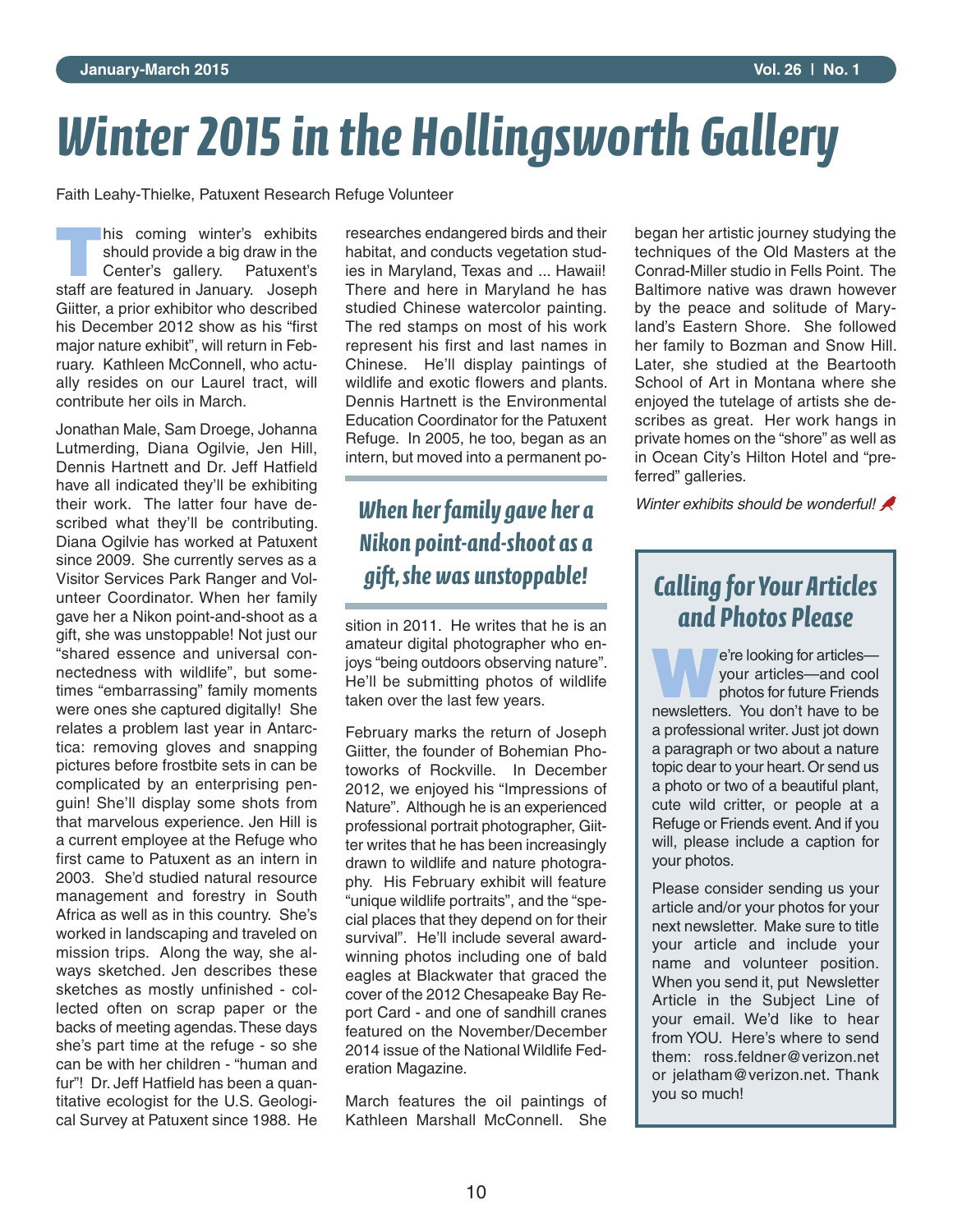# *Winter 2015 in the Hollingsworth Gallery*

Faith Leahy-Thielke, Patuxent Research Refuge Volunteer

**This coming winter's exhibits<br>
should provide a big draw in the<br>
Center's gallery. Patuxent's** should provide a big draw in the Center's gallery. Patuxent's staff are featured in January. Joseph Giitter, a prior exhibitor who described his December 2012 show as his "first major nature exhibit", will return in February. Kathleen McConnell, who actually resides on our Laurel tract, will contribute her oils in March.

Jonathan Male, Sam Droege, Johanna Lutmerding, Diana Ogilvie, Jen Hill, Dennis Hartnett and Dr. Jeff Hatfield have all indicated they'll be exhibiting their work. The latter four have described what they'll be contributing. Diana Ogilvie has worked at Patuxent since 2009. She currently serves as a Visitor Services Park Ranger and Volunteer Coordinator. When her family gave her a Nikon point-and-shoot as a gift, she was unstoppable! Not just our "shared essence and universal connectedness with wildlife", but sometimes "embarrassing" family moments were ones she captured digitally! She relates a problem last year in Antarctica: removing gloves and snapping pictures before frostbite sets in can be complicated by an enterprising penguin! She'll display some shots from that marvelous experience. Jen Hill is a current employee at the Refuge who first came to Patuxent as an intern in 2003. She'd studied natural resource management and forestry in South Africa as well as in this country. She's worked in landscaping and traveled on mission trips. Along the way, she always sketched. Jen describes these sketches as mostly unfinished - collected often on scrap paper or the backs of meeting agendas.These days she's part time at the refuge - so she can be with her children - "human and fur"! Dr. Jeff Hatfield has been a quantitative ecologist for the U.S. Geological Survey at Patuxent since 1988. He

researches endangered birds and their habitat, and conducts vegetation studies in Maryland, Texas and ... Hawaii! There and here in Maryland he has studied Chinese watercolor painting. The red stamps on most of his work represent his first and last names in Chinese. He'll display paintings of wildlife and exotic flowers and plants. Dennis Hartnett is the Environmental Education Coordinator for the Patuxent Refuge. In 2005, he too, began as an intern, but moved into a permanent po-

## *When her family gave her a Nikon point-and-shoot as a gift, she was unstoppable!*

sition in 2011. He writes that he is an amateur digital photographer who enjoys "being outdoors observing nature". He'll be submitting photos of wildlife taken over the last few years.

February marks the return of Joseph Giitter, the founder of Bohemian Photoworks of Rockville. In December 2012, we enjoyed his "Impressions of Nature". Although he is an experienced professional portrait photographer, Giitter writes that he has been increasingly drawn to wildlife and nature photography. His February exhibit will feature "unique wildlife portraits", and the "special places that they depend on for their survival". He'll include several awardwinning photos including one of bald eagles at Blackwater that graced the cover of the 2012 Chesapeake Bay Report Card - and one of sandhill cranes featured on the November/December 2014 issue of the National Wildlife Federation Magazine.

March features the oil paintings of Kathleen Marshall McConnell. She began her artistic journey studying the techniques of the Old Masters at the Conrad-Miller studio in Fells Point. The Baltimore native was drawn however by the peace and solitude of Maryland's Eastern Shore. She followed her family to Bozman and Snow Hill. Later, she studied at the Beartooth School of Art in Montana where she enjoyed the tutelage of artists she describes as great. Her work hangs in private homes on the "shore" as well as in Ocean City's Hilton Hotel and "preferred" galleries.

*Winter exhibits should be wonderful!*

## *Calling for Your Articles and Photos Please*

**We're looking for articles—<br>
your articles—and cool<br>
photos for future Friends** your articles—and cool newsletters. You don't have to be a professional writer. Just jot down a paragraph or two about a nature topic dear to your heart.Or send us a photo or two of a beautiful plant, cute wild critter, or people at a Refuge or Friends event.And if you will, please include a caption for your photos.

Please consider sending us your article and/or your photos for your next newsletter. Make sure to title your article and include your name and volunteer position. When you send it, put Newsletter Article in the Subject Line of your email. We'd like to hear from YOU. Here's where to send them: ross feldner@verizon net or jelatham@verizon.net. Thank you so much!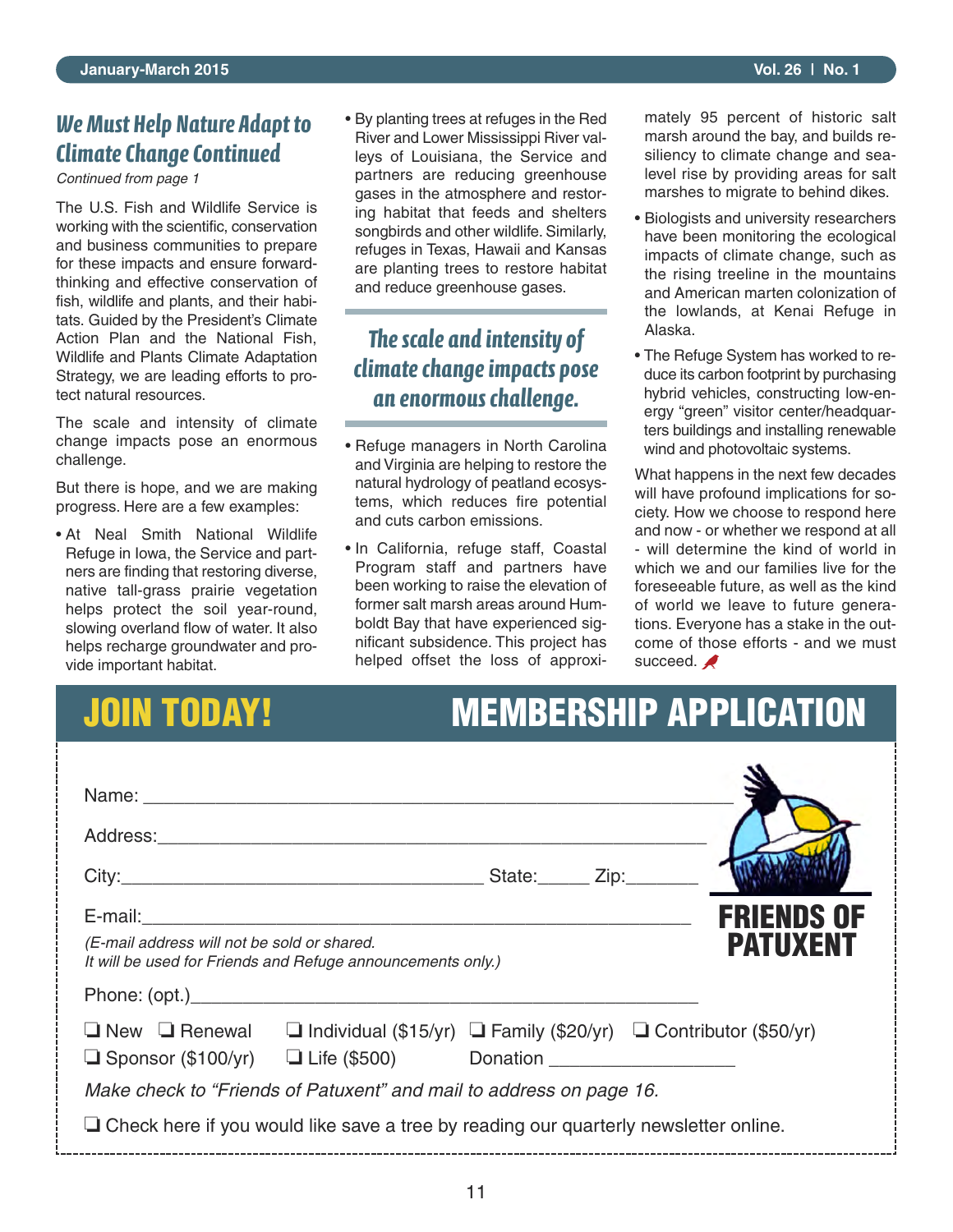### *We Must Help Nature Adapt to Climate Change Continued*

*Continued from page 1*

The U.S. Fish and Wildlife Service is working with the scientific, conservation and business communities to prepare for these impacts and ensure forwardthinking and effective conservation of fish, wildlife and plants, and their habitats. Guided by the President's Climate Action Plan and the National Fish, Wildlife and Plants Climate Adaptation Strategy, we are leading efforts to protect natural resources.

The scale and intensity of climate change impacts pose an enormous challenge.

But there is hope, and we are making progress. Here are a few examples:

• At Neal Smith National Wildlife Refuge in Iowa, the Service and partners are finding that restoring diverse, native tall-grass prairie vegetation helps protect the soil year-round, slowing overland flow of water. It also helps recharge groundwater and provide important habitat.

• By planting trees at refuges in the Red River and Lower Mississippi River valleys of Louisiana, the Service and partners are reducing greenhouse gases in the atmosphere and restoring habitat that feeds and shelters songbirds and other wildlife. Similarly, refuges in Texas, Hawaii and Kansas are planting trees to restore habitat and reduce greenhouse gases.

### *The scale and intensity of climate change impacts pose an enormous challenge.*

- Refuge managers in North Carolina and Virginia are helping to restore the natural hydrology of peatland ecosystems, which reduces fire potential and cuts carbon emissions.
- In California, refuge staff, Coastal Program staff and partners have been working to raise the elevation of former salt marsh areas around Humboldt Bay that have experienced significant subsidence. This project has helped offset the loss of approxi-

mately 95 percent of historic salt marsh around the bay, and builds resiliency to climate change and sealevel rise by providing areas for salt marshes to migrate to behind dikes.

- Biologists and university researchers have been monitoring the ecological impacts of climate change, such as the rising treeline in the mountains and American marten colonization of the lowlands, at Kenai Refuge in Alaska.
- The Refuge System has worked to reduce its carbon footprint by purchasing hybrid vehicles, constructing low-energy "green" visitor center/headquarters buildings and installing renewable wind and photovoltaic systems.

What happens in the next few decades will have profound implications for society. How we choose to respond here and now - or whether we respond at all - will determine the kind of world in which we and our families live for the foreseeable future, as well as the kind of world we leave to future generations. Everyone has a stake in the outcome of those efforts - and we must succeed.

# **JOIN TODAY! MEMBERSHIP APPLICATION**

| <b>FRIENDS OF</b><br><b>PATUXENT</b><br>(E-mail address will not be sold or shared.<br>It will be used for Friends and Refuge announcements only.)                   |  |  |  |  |  |  |  |
|----------------------------------------------------------------------------------------------------------------------------------------------------------------------|--|--|--|--|--|--|--|
|                                                                                                                                                                      |  |  |  |  |  |  |  |
| $\Box$ New $\Box$ Renewal $\Box$ Individual (\$15/yr) $\Box$ Family (\$20/yr) $\Box$ Contributor (\$50/yr)<br>$\Box$ Sponsor (\$100/yr) $\Box$ Life (\$500) Donation |  |  |  |  |  |  |  |
| Make check to "Friends of Patuxent" and mail to address on page 16.                                                                                                  |  |  |  |  |  |  |  |
| $\Box$ Check here if you would like save a tree by reading our quarterly newsletter online.                                                                          |  |  |  |  |  |  |  |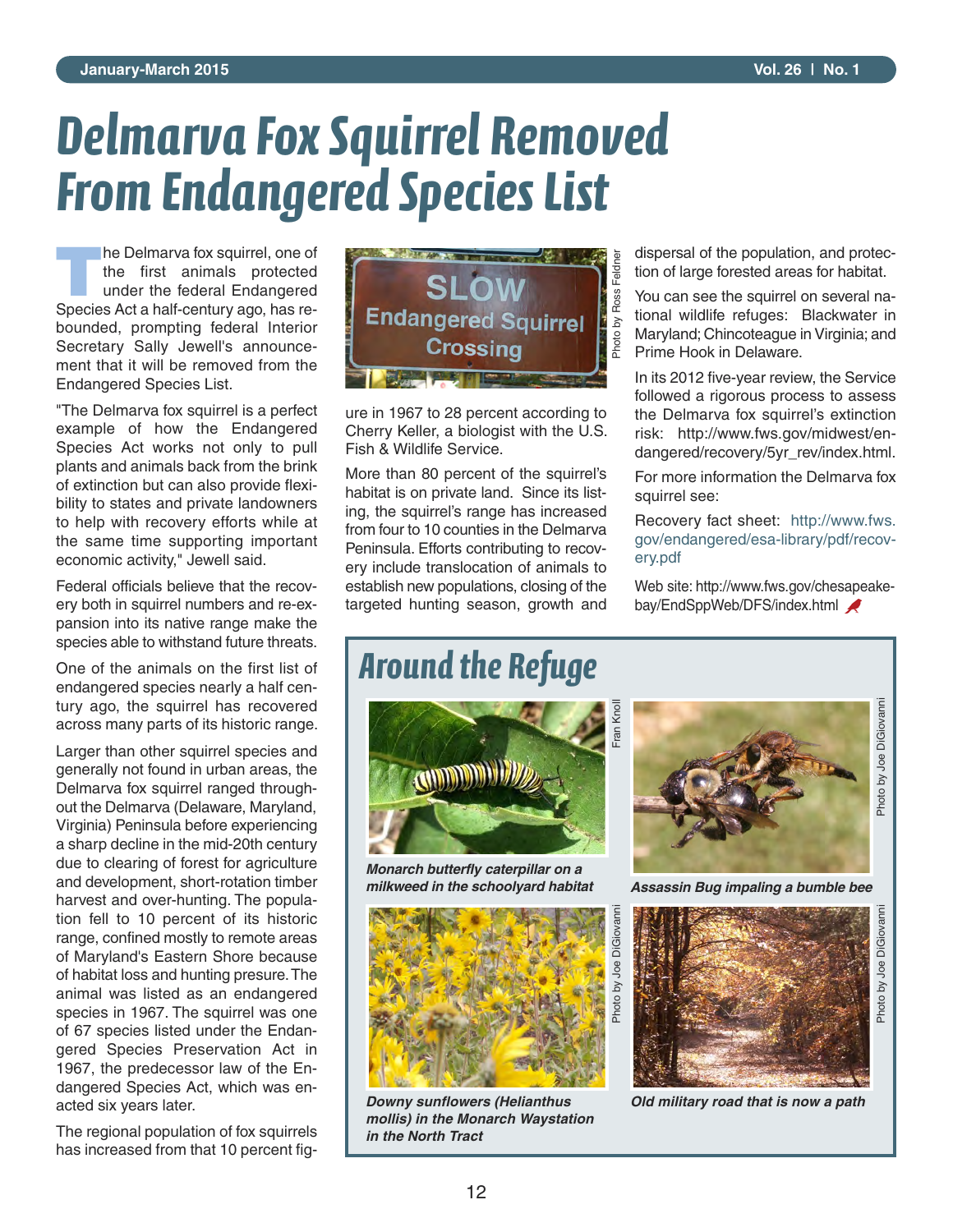# *Delmarva Fox Squirrel Removed From Endangered Species List*

**The Delmarva fox squirrel, one of<br>the first animals protected<br>under the federal Endangered** the first animals protected under the federal Endangered Species Act a half-century ago, has rebounded, prompting federal Interior Secretary Sally Jewell's announcement that it will be removed from the Endangered Species List.

"The Delmarva fox squirrel is a perfect example of how the Endangered Species Act works not only to pull plants and animals back from the brink of extinction but can also provide flexibility to states and private landowners to help with recovery efforts while at the same time supporting important economic activity," Jewell said.

Federal officials believe that the recovery both in squirrel numbers and re-expansion into its native range make the species able to withstand future threats.

One of the animals on the first list of endangered species nearly a half century ago, the squirrel has recovered across many parts of its historic range.

Larger than other squirrel species and generally not found in urban areas, the Delmarva fox squirrel ranged throughout the Delmarva (Delaware, Maryland, Virginia) Peninsula before experiencing a sharp decline in the mid-20th century due to clearing of forest for agriculture and development, short-rotation timber harvest and over-hunting. The population fell to 10 percent of its historic range, confined mostly to remote areas of Maryland's Eastern Shore because of habitat loss and hunting presure.The animal was listed as an endangered species in 1967. The squirrel was one of 67 species listed under the Endangered Species Preservation Act in 1967, the predecessor law of the Endangered Species Act, which was enacted six years later.

The regional population of fox squirrels has increased from that 10 percent fig-



ure in 1967 to 28 percent according to Cherry Keller, a biologist with the U.S. Fish & Wildlife Service.

More than 80 percent of the squirrel's habitat is on private land. Since its listing, the squirrel's range has increased from four to 10 counties in the Delmarva Peninsula. Efforts contributing to recovery include translocation of animals to establish new populations, closing of the targeted hunting season, growth and dispersal of the population, and protection of large forested areas for habitat.

You can see the squirrel on several national wildlife refuges: Blackwater in Maryland; Chincoteague in Virginia; and Prime Hook in Delaware.

In its 2012 five-year review, the Service followed a rigorous process to assess the Delmarva fox squirrel's extinction risk: http://www.fws.gov/midwest/endangered/recovery/5yr\_rev/index.html.

For more information the Delmarva fox squirrel see:

Recovery fact sheet: http://www.fws. gov/endangered/esa-library/pdf/recovery.pdf

Web site: http://www.fws.gov/chesapeakebay/EndSppWeb/DFS/index.html

## *Around the Refuge*



*Monarch butterfly caterpillar on a milkweed in the schoolyard habitat*



*Downy sunflowers (Helianthus mollis) in the Monarch Waystation in the North Tract*



*Assassin Bug impaling a bumble bee*



*Old military road that is now a path*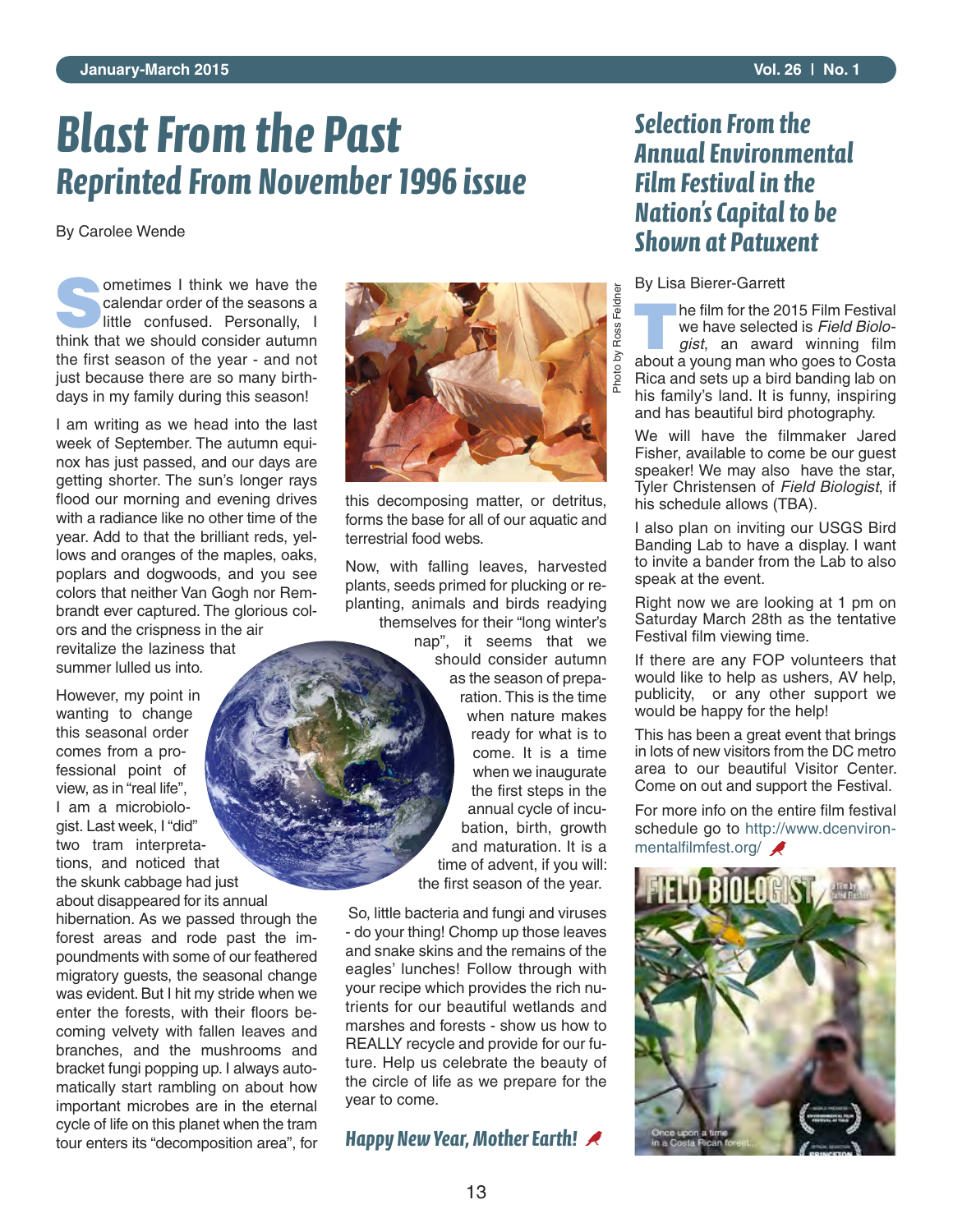# *Blast From the Past Reprinted From November 1996 issue*

By Carolee Wende

**Sometimes I think we have the calendar order of the seasons a** little confused. Personally, I calendar order of the seasons a think that we should consider autumn the first season of the year - and not just because there are so many birthdays in my family during this season!

I am writing as we head into the last week of September. The autumn equinox has just passed, and our days are getting shorter. The sun's longer rays flood our morning and evening drives with a radiance like no other time of the year. Add to that the brilliant reds, yellows and oranges of the maples, oaks, poplars and dogwoods, and you see colors that neither Van Gogh nor Rembrandt ever captured. The glorious colors and the crispness in the air revitalize the laziness that summer lulled us into.

However, my point in wanting to change this seasonal order comes from a professional point of view, as in "real life", I am a microbiologist. Last week, I "did" two tram interpretations, and noticed that the skunk cabbage had just about disappeared for its annual

hibernation. As we passed through the forest areas and rode past the impoundments with some of our feathered migratory guests, the seasonal change was evident. But I hit my stride when we enter the forests, with their floors becoming velvety with fallen leaves and branches, and the mushrooms and bracket fungi popping up. I always automatically start rambling on about how important microbes are in the eternal cycle of life on this planet when the tram tour enters its "decomposition area", for



this decomposing matter, or detritus, forms the base for all of our aquatic and terrestrial food webs.

Now, with falling leaves, harvested plants, seeds primed for plucking or replanting, animals and birds readying themselves for their "long winter's

nap", it seems that we should consider autumn as the season of preparation. This is the time when nature makes ready for what is to come. It is a time when we inaugurate the first steps in the annual cycle of incubation, birth, growth and maturation. It is a time of advent, if you will: the first season of the year.

So, little bacteria and fungi and viruses - do your thing! Chomp up those leaves and snake skins and the remains of the eagles' lunches! Follow through with your recipe which provides the rich nutrients for our beautiful wetlands and marshes and forests - show us how to REALLY recycle and provide for our future. Help us celebrate the beauty of the circle of life as we prepare for the year to come.

### *Happy New Year, Mother Earth!*

13

### *Selection From the Annual Environmental Film Festival in the Nation's Capital to be Shown at Patuxent*

By Lisa Bierer-Garrett

**T**he film for the 2015 Film Festival we have selected is *Field Biologist*, an award winning film about a young man who goes to Costa Rica and sets up a bird banding lab on his family's land. It is funny, inspiring and has beautiful bird photography.

We will have the filmmaker Jared Fisher, available to come be our guest speaker! We may also have the star, Tyler Christensen of *Field Biologist*, if his schedule allows (TBA).

I also plan on inviting our USGS Bird Banding Lab to have a display. I want to invite a bander from the Lab to also speak at the event.

Right now we are looking at 1 pm on Saturday March 28th as the tentative Festival film viewing time.

If there are any FOP volunteers that would like to help as ushers, AV help, publicity, or any other support we would be happy for the help!

This has been a great event that brings in lots of new visitors from the DC metro area to our beautiful Visitor Center. Come on out and support the Festival.

For more info on the entire film festival schedule go to http://www.dcenvironmentalfilmfest.org/

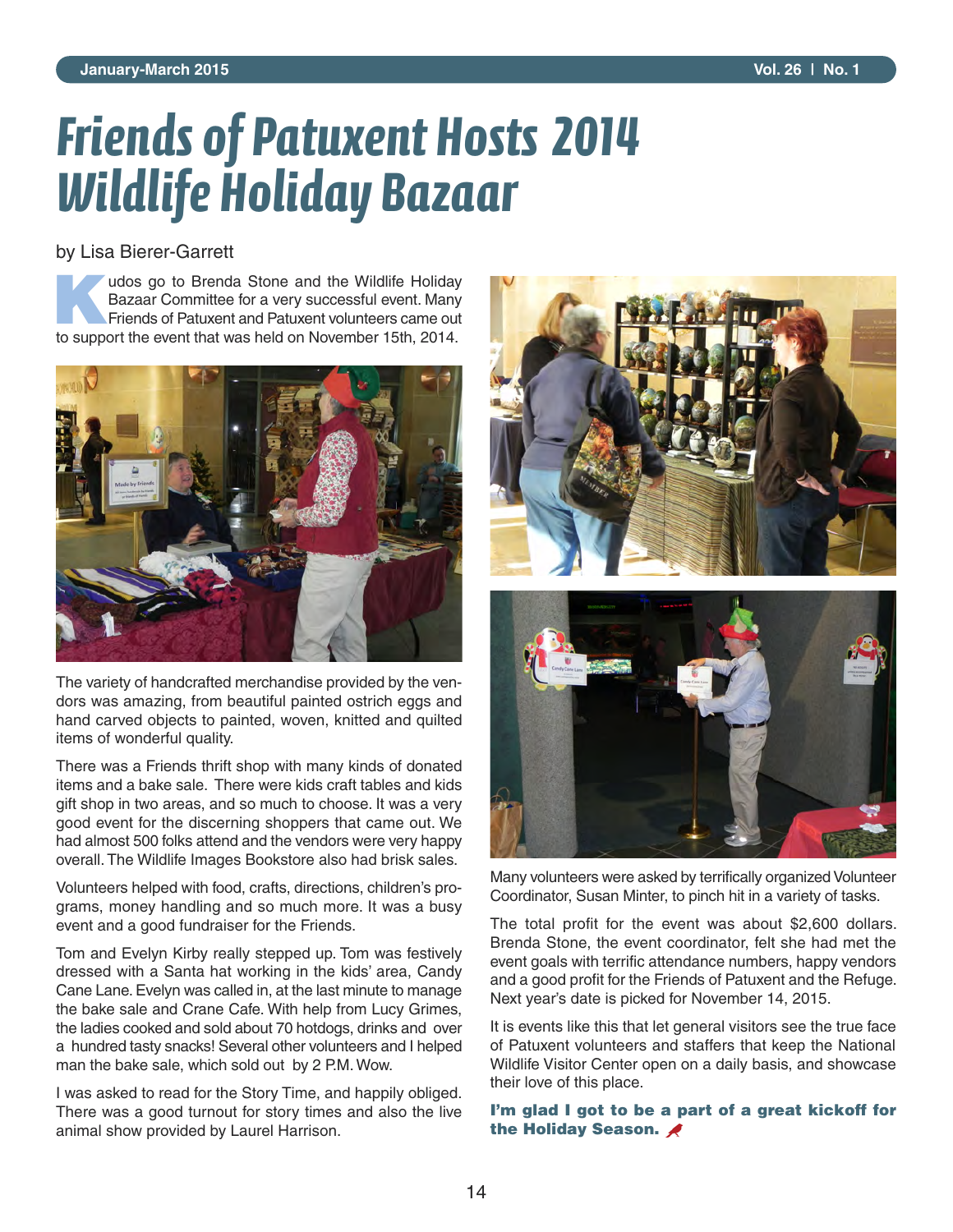# *Friends of Patuxent Hosts 2014 Wildlife Holiday Bazaar*

#### by Lisa Bierer-Garrett

**Kudos go to Brenda Stone and the Wildlife Holiday**<br>Bazaar Committee for a very successful event. Many<br>Friends of Patuxent and Patuxent volunteers came out Bazaar Committee for a very successful event. Many to support the event that was held on November 15th, 2014.



The variety of handcrafted merchandise provided by the vendors was amazing, from beautiful painted ostrich eggs and hand carved objects to painted, woven, knitted and quilted items of wonderful quality.

There was a Friends thrift shop with many kinds of donated items and a bake sale. There were kids craft tables and kids gift shop in two areas, and so much to choose. It was a very good event for the discerning shoppers that came out. We had almost 500 folks attend and the vendors were very happy overall. The Wildlife Images Bookstore also had brisk sales.

Volunteers helped with food, crafts, directions, children's programs, money handling and so much more. It was a busy event and a good fundraiser for the Friends.

Tom and Evelyn Kirby really stepped up. Tom was festively dressed with a Santa hat working in the kids' area, Candy Cane Lane. Evelyn was called in, at the last minute to manage the bake sale and Crane Cafe. With help from Lucy Grimes, the ladies cooked and sold about 70 hotdogs, drinks and over a hundred tasty snacks! Several other volunteers and I helped man the bake sale, which sold out by 2 P.M. Wow.

I was asked to read for the Story Time, and happily obliged. There was a good turnout for story times and also the live animal show provided by Laurel Harrison.



Many volunteers were asked by terrifically organized Volunteer Coordinator, Susan Minter, to pinch hit in a variety of tasks.

The total profit for the event was about \$2,600 dollars. Brenda Stone, the event coordinator, felt she had met the event goals with terrific attendance numbers, happy vendors and a good profit for the Friends of Patuxent and the Refuge. Next year's date is picked for November 14, 2015.

It is events like this that let general visitors see the true face of Patuxent volunteers and staffers that keep the National Wildlife Visitor Center open on a daily basis, and showcase their love of this place.

#### **I'm glad I got to be a part of a great kickoff for the Holiday Season.**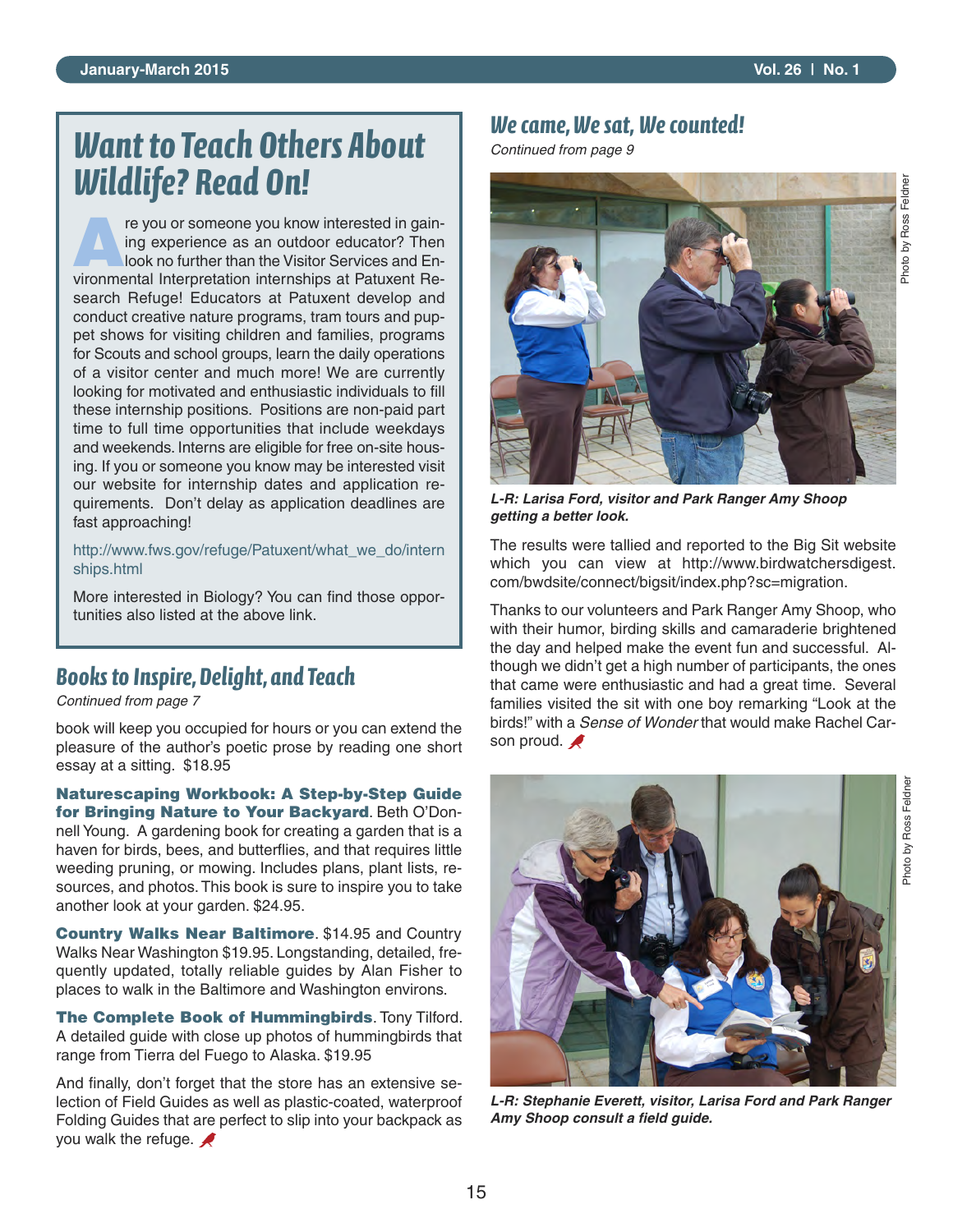# *Want to Teach Others About Wildlife? Read On!*

re you or someone you know interested in gaining experience as an outdoor educator? Then look no further than the Visitor Services and Environmental Interpretation internships at Patuxent Research Refuge! Educators at Patuxent develop and conduct creative nature programs, tram tours and puppet shows for visiting children and families, programs for Scouts and school groups, learn the daily operations of a visitor center and much more! We are currently looking for motivated and enthusiastic individuals to fill these internship positions. Positions are non-paid part time to full time opportunities that include weekdays and weekends. Interns are eligible for free on-site housing. If you or someone you know may be interested visit our website for internship dates and application requirements. Don't delay as application deadlines are fast approaching!

http://www.fws.gov/refuge/Patuxent/what\_we\_do/intern ships.html

More interested in Biology? You can find those opportunities also listed at the above link.

### *Books to Inspire, Delight, and Teach*

*Continued from page 7*

book will keep you occupied for hours or you can extend the pleasure of the author's poetic prose by reading one short essay at a sitting. \$18.95

**Naturescaping Workbook: A Step-by-Step Guide for Bringing Nature to Your Backyard**. Beth O'Donnell Young. A gardening book for creating a garden that is a haven for birds, bees, and butterflies, and that requires little weeding pruning, or mowing. Includes plans, plant lists, resources, and photos. This book is sure to inspire you to take another look at your garden. \$24.95.

**Country Walks Near Baltimore**. \$14.95 and Country Walks Near Washington \$19.95. Longstanding, detailed, frequently updated, totally reliable guides by Alan Fisher to places to walk in the Baltimore and Washington environs.

**The Complete Book of Hummingbirds**. Tony Tilford. A detailed guide with close up photos of hummingbirds that range from Tierra del Fuego to Alaska. \$19.95

And finally, don't forget that the store has an extensive selection of Field Guides as well as plastic-coated, waterproof Folding Guides that are perfect to slip into your backpack as you walk the refuge.

### *We came, We sat, We counted!*

*Continued from page 9*



*L-R: Larisa Ford, visitor and Park Ranger Amy Shoop getting a better look.*

The results were tallied and reported to the Big Sit website which you can view at http://www.birdwatchersdigest. com/bwdsite/connect/bigsit/index.php?sc=migration.

Thanks to our volunteers and Park Ranger Amy Shoop, who with their humor, birding skills and camaraderie brightened the day and helped make the event fun and successful. Although we didn't get a high number of participants, the ones that came were enthusiastic and had a great time. Several families visited the sit with one boy remarking "Look at the birds!" with a *Sense of Wonder* that would make Rachel Carson proud.



*L-R: Stephanie Everett, visitor, Larisa Ford and Park Ranger Amy Shoop consult a field guide.*